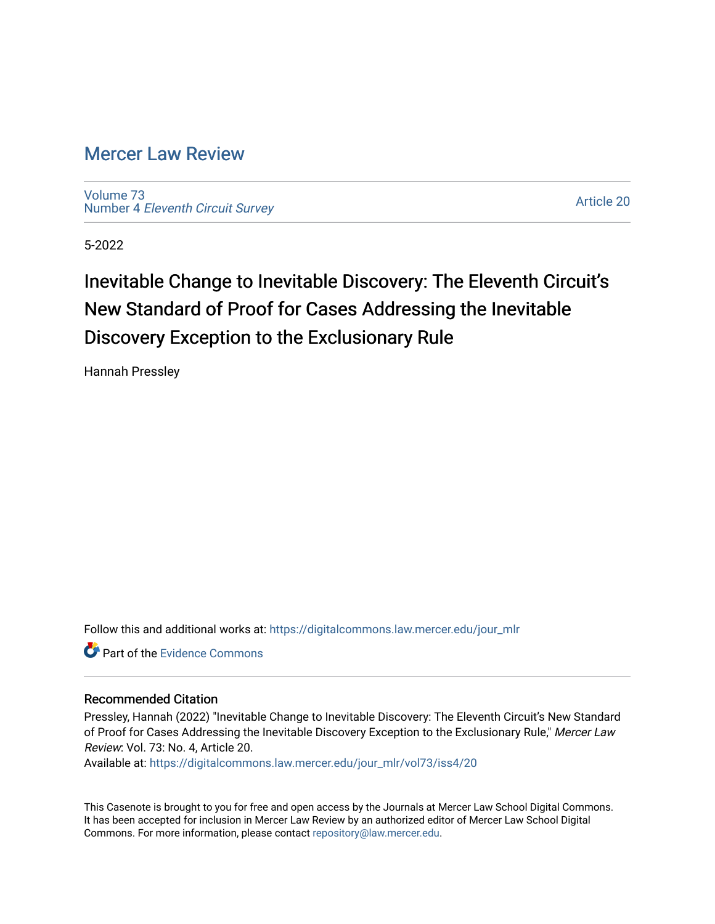## [Mercer Law Review](https://digitalcommons.law.mercer.edu/jour_mlr)

[Volume 73](https://digitalcommons.law.mercer.edu/jour_mlr/vol73) Number 4 [Eleventh Circuit Survey](https://digitalcommons.law.mercer.edu/jour_mlr/vol73/iss4) 

[Article 20](https://digitalcommons.law.mercer.edu/jour_mlr/vol73/iss4/20) 

5-2022

# Inevitable Change to Inevitable Discovery: The Eleventh Circuit's New Standard of Proof for Cases Addressing the Inevitable Discovery Exception to the Exclusionary Rule

Hannah Pressley

Follow this and additional works at: [https://digitalcommons.law.mercer.edu/jour\\_mlr](https://digitalcommons.law.mercer.edu/jour_mlr?utm_source=digitalcommons.law.mercer.edu%2Fjour_mlr%2Fvol73%2Fiss4%2F20&utm_medium=PDF&utm_campaign=PDFCoverPages)

**C** Part of the Evidence Commons

### Recommended Citation

Pressley, Hannah (2022) "Inevitable Change to Inevitable Discovery: The Eleventh Circuit's New Standard of Proof for Cases Addressing the Inevitable Discovery Exception to the Exclusionary Rule," Mercer Law Review: Vol. 73: No. 4, Article 20.

Available at: [https://digitalcommons.law.mercer.edu/jour\\_mlr/vol73/iss4/20](https://digitalcommons.law.mercer.edu/jour_mlr/vol73/iss4/20?utm_source=digitalcommons.law.mercer.edu%2Fjour_mlr%2Fvol73%2Fiss4%2F20&utm_medium=PDF&utm_campaign=PDFCoverPages) 

This Casenote is brought to you for free and open access by the Journals at Mercer Law School Digital Commons. It has been accepted for inclusion in Mercer Law Review by an authorized editor of Mercer Law School Digital Commons. For more information, please contact [repository@law.mercer.edu.](mailto:repository@law.mercer.edu)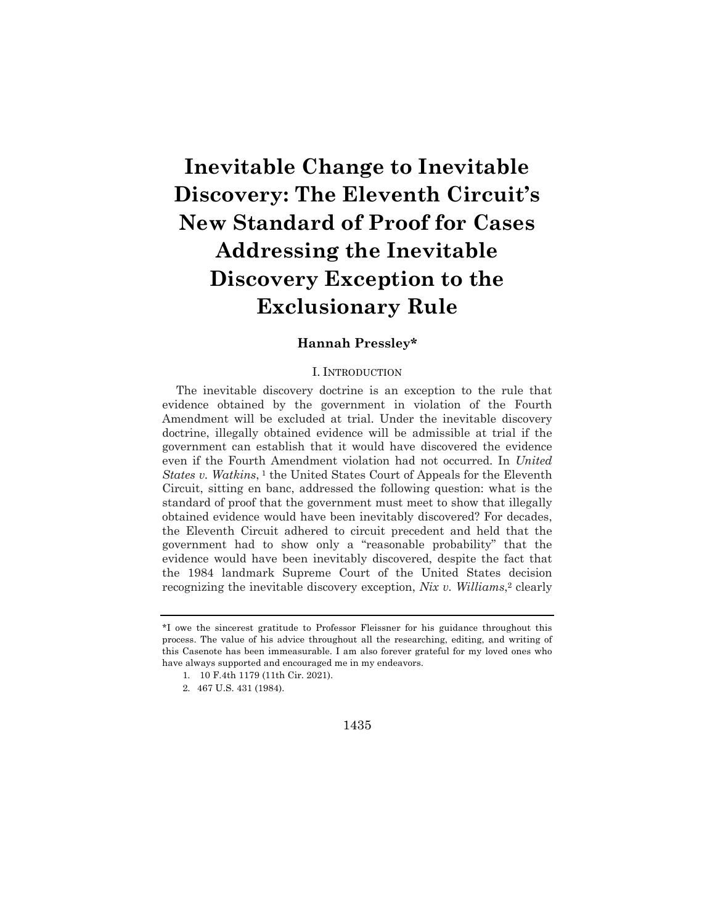# **Inevitable Change to Inevitable Discovery: The Eleventh Circuit's New Standard of Proof for Cases Addressing the Inevitable Discovery Exception to the Exclusionary Rule**

### **Hannah Pressley\***

#### I. INTRODUCTION

The inevitable discovery doctrine is an exception to the rule that evidence obtained by the government in violation of the Fourth Amendment will be excluded at trial. Under the inevitable discovery doctrine, illegally obtained evidence will be admissible at trial if the government can establish that it would have discovered the evidence even if the Fourth Amendment violation had not occurred. In *United States v. Watkins*, <sup>1</sup> the United States Court of Appeals for the Eleventh Circuit, sitting en banc, addressed the following question: what is the standard of proof that the government must meet to show that illegally obtained evidence would have been inevitably discovered? For decades, the Eleventh Circuit adhered to circuit precedent and held that the government had to show only a "reasonable probability" that the evidence would have been inevitably discovered, despite the fact that the 1984 landmark Supreme Court of the United States decision recognizing the inevitable discovery exception, *Nix v. Williams*,2 clearly

1. 10 F.4th 1179 (11th Cir. 2021).

<sup>\*</sup>I owe the sincerest gratitude to Professor Fleissner for his guidance throughout this process. The value of his advice throughout all the researching, editing, and writing of this Casenote has been immeasurable. I am also forever grateful for my loved ones who have always supported and encouraged me in my endeavors.

<sup>2.</sup> 467 U.S. 431 (1984).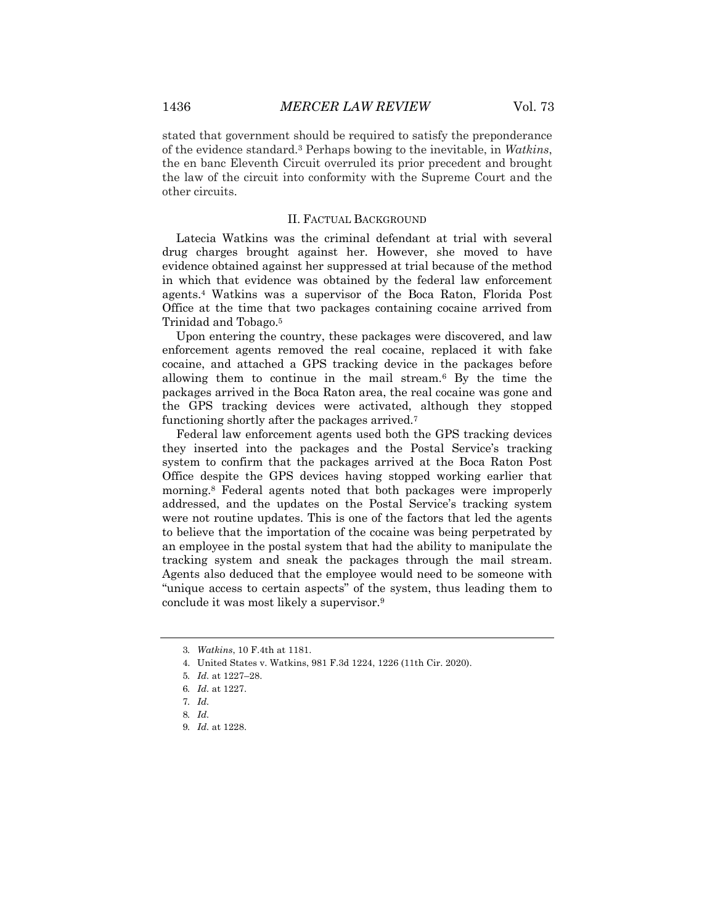stated that government should be required to satisfy the preponderance of the evidence standard.3 Perhaps bowing to the inevitable, in *Watkins*, the en banc Eleventh Circuit overruled its prior precedent and brought the law of the circuit into conformity with the Supreme Court and the other circuits.

#### II. FACTUAL BACKGROUND

Latecia Watkins was the criminal defendant at trial with several drug charges brought against her. However, she moved to have evidence obtained against her suppressed at trial because of the method in which that evidence was obtained by the federal law enforcement agents.4 Watkins was a supervisor of the Boca Raton, Florida Post Office at the time that two packages containing cocaine arrived from Trinidad and Tobago.5

Upon entering the country, these packages were discovered, and law enforcement agents removed the real cocaine, replaced it with fake cocaine, and attached a GPS tracking device in the packages before allowing them to continue in the mail stream.6 By the time the packages arrived in the Boca Raton area, the real cocaine was gone and the GPS tracking devices were activated, although they stopped functioning shortly after the packages arrived.7

Federal law enforcement agents used both the GPS tracking devices they inserted into the packages and the Postal Service's tracking system to confirm that the packages arrived at the Boca Raton Post Office despite the GPS devices having stopped working earlier that morning.8 Federal agents noted that both packages were improperly addressed, and the updates on the Postal Service's tracking system were not routine updates. This is one of the factors that led the agents to believe that the importation of the cocaine was being perpetrated by an employee in the postal system that had the ability to manipulate the tracking system and sneak the packages through the mail stream. Agents also deduced that the employee would need to be someone with "unique access to certain aspects" of the system, thus leading them to conclude it was most likely a supervisor.9

<sup>3</sup>*. Watkins*, 10 F.4th at 1181.

<sup>4.</sup> United States v. Watkins, 981 F.3d 1224, 1226 (11th Cir. 2020).

<sup>5</sup>*. Id.* at 1227–28.

<sup>6</sup>*. Id.* at 1227.

<sup>7</sup>*. Id.*

<sup>8</sup>*. Id.*

<sup>9</sup>*. Id.* at 1228.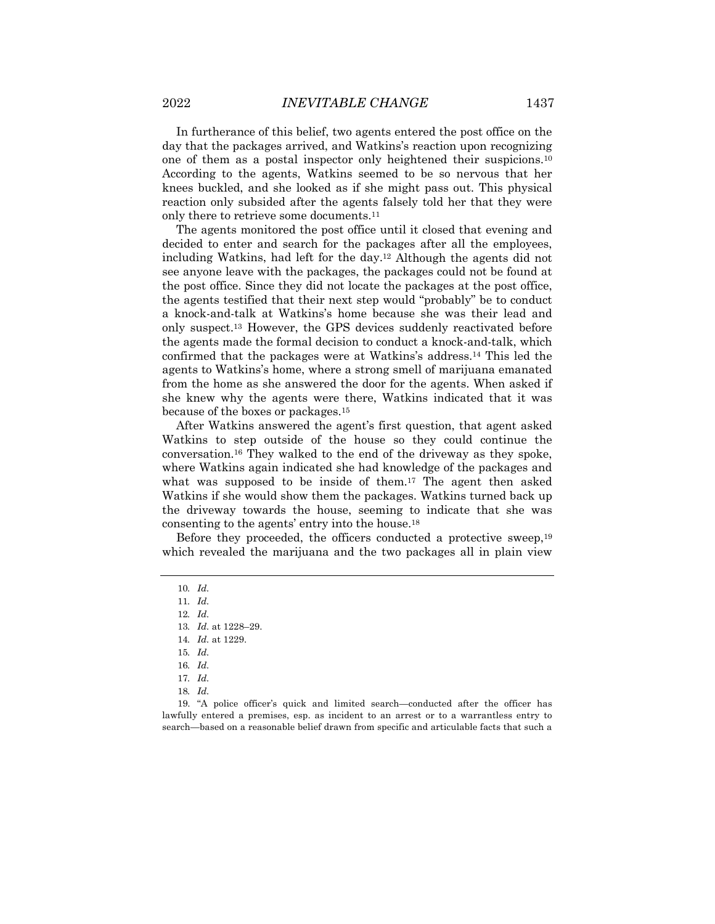In furtherance of this belief, two agents entered the post office on the day that the packages arrived, and Watkins's reaction upon recognizing one of them as a postal inspector only heightened their suspicions.10 According to the agents, Watkins seemed to be so nervous that her knees buckled, and she looked as if she might pass out. This physical reaction only subsided after the agents falsely told her that they were only there to retrieve some documents.11

The agents monitored the post office until it closed that evening and decided to enter and search for the packages after all the employees, including Watkins, had left for the day.12 Although the agents did not see anyone leave with the packages, the packages could not be found at the post office. Since they did not locate the packages at the post office, the agents testified that their next step would "probably" be to conduct a knock-and-talk at Watkins's home because she was their lead and only suspect.13 However, the GPS devices suddenly reactivated before the agents made the formal decision to conduct a knock-and-talk, which confirmed that the packages were at Watkins's address.14 This led the agents to Watkins's home, where a strong smell of marijuana emanated from the home as she answered the door for the agents. When asked if she knew why the agents were there, Watkins indicated that it was because of the boxes or packages.15

After Watkins answered the agent's first question, that agent asked Watkins to step outside of the house so they could continue the conversation.16 They walked to the end of the driveway as they spoke, where Watkins again indicated she had knowledge of the packages and what was supposed to be inside of them.17 The agent then asked Watkins if she would show them the packages. Watkins turned back up the driveway towards the house, seeming to indicate that she was consenting to the agents' entry into the house.18

Before they proceeded, the officers conducted a protective sweep,<sup>19</sup> which revealed the marijuana and the two packages all in plain view

19. "A police officer's quick and limited search—conducted after the officer has lawfully entered a premises, esp. as incident to an arrest or to a warrantless entry to search—based on a reasonable belief drawn from specific and articulable facts that such a

<sup>10</sup>*. Id.*

<sup>11</sup>*. Id.*

<sup>12</sup>*. Id.*

<sup>13</sup>*. Id.* at 1228–29.

<sup>14</sup>*. Id.* at 1229.

<sup>15</sup>*. Id.*

<sup>16</sup>*. Id.*

<sup>17</sup>*. Id.*

<sup>18</sup>*. Id.*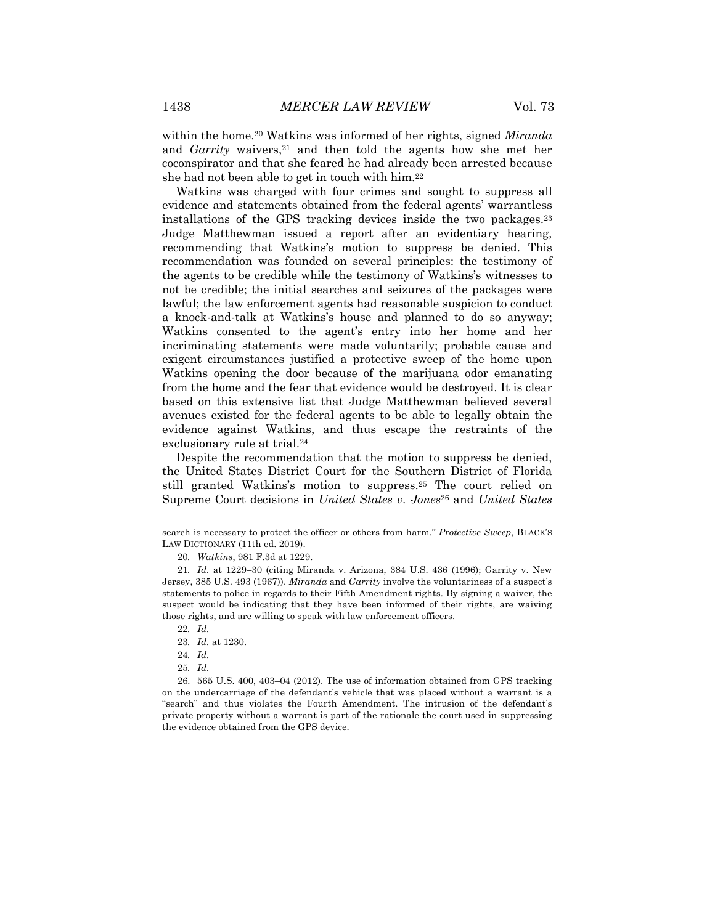within the home.20 Watkins was informed of her rights, signed *Miranda* and *Garrity* waivers,<sup>21</sup> and then told the agents how she met her coconspirator and that she feared he had already been arrested because she had not been able to get in touch with him.22

Watkins was charged with four crimes and sought to suppress all evidence and statements obtained from the federal agents' warrantless installations of the GPS tracking devices inside the two packages.23 Judge Matthewman issued a report after an evidentiary hearing, recommending that Watkins's motion to suppress be denied. This recommendation was founded on several principles: the testimony of the agents to be credible while the testimony of Watkins's witnesses to not be credible; the initial searches and seizures of the packages were lawful; the law enforcement agents had reasonable suspicion to conduct a knock-and-talk at Watkins's house and planned to do so anyway; Watkins consented to the agent's entry into her home and her incriminating statements were made voluntarily; probable cause and exigent circumstances justified a protective sweep of the home upon Watkins opening the door because of the marijuana odor emanating from the home and the fear that evidence would be destroyed. It is clear based on this extensive list that Judge Matthewman believed several avenues existed for the federal agents to be able to legally obtain the evidence against Watkins, and thus escape the restraints of the exclusionary rule at trial.<sup>24</sup>

Despite the recommendation that the motion to suppress be denied, the United States District Court for the Southern District of Florida still granted Watkins's motion to suppress.25 The court relied on Supreme Court decisions in *United States v. Jones*<sup>26</sup> and *United States* 

search is necessary to protect the officer or others from harm." *Protective Sweep*, BLACK'S LAW DICTIONARY (11th ed. 2019).

<sup>20</sup>*. Watkins*, 981 F.3d at 1229.

<sup>21</sup>*. Id.* at 1229–30 (citing Miranda v. Arizona, 384 U.S. 436 (1996); Garrity v. New Jersey, 385 U.S. 493 (1967)). *Miranda* and *Garrity* involve the voluntariness of a suspect's statements to police in regards to their Fifth Amendment rights. By signing a waiver, the suspect would be indicating that they have been informed of their rights, are waiving those rights, and are willing to speak with law enforcement officers.

<sup>22</sup>*. Id.*

<sup>23</sup>*. Id.* at 1230.

<sup>24</sup>*. Id.*

<sup>25</sup>*. Id.*

<sup>26.</sup> 565 U.S. 400, 403–04 (2012). The use of information obtained from GPS tracking on the undercarriage of the defendant's vehicle that was placed without a warrant is a "search" and thus violates the Fourth Amendment. The intrusion of the defendant's private property without a warrant is part of the rationale the court used in suppressing the evidence obtained from the GPS device.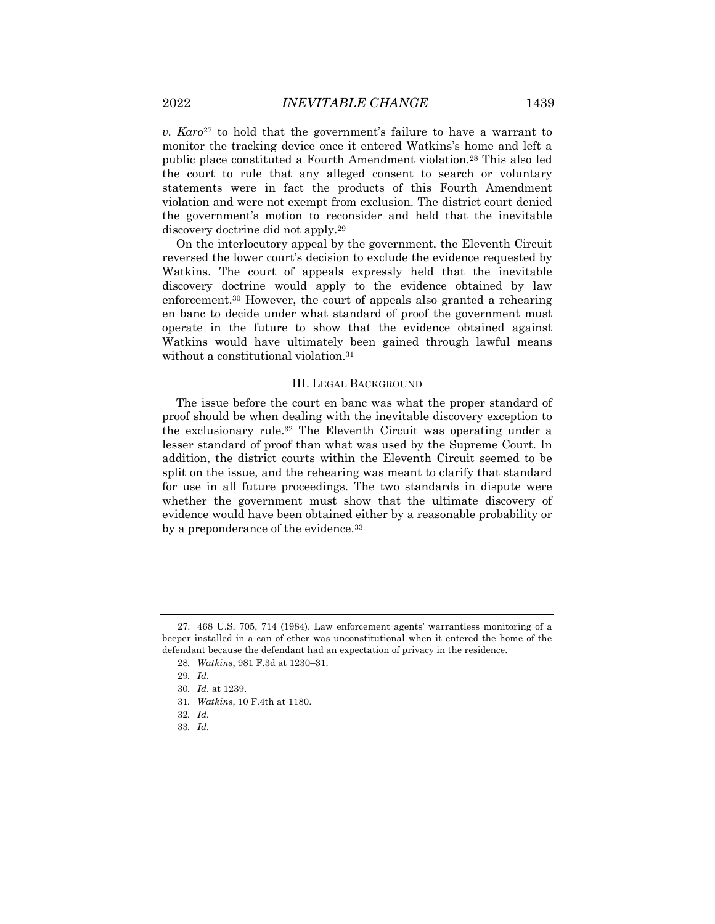*v. Karo*<sup>27</sup> to hold that the government's failure to have a warrant to monitor the tracking device once it entered Watkins's home and left a public place constituted a Fourth Amendment violation.28 This also led the court to rule that any alleged consent to search or voluntary statements were in fact the products of this Fourth Amendment violation and were not exempt from exclusion. The district court denied

discovery doctrine did not apply.29 On the interlocutory appeal by the government, the Eleventh Circuit reversed the lower court's decision to exclude the evidence requested by Watkins. The court of appeals expressly held that the inevitable discovery doctrine would apply to the evidence obtained by law enforcement.30 However, the court of appeals also granted a rehearing en banc to decide under what standard of proof the government must operate in the future to show that the evidence obtained against Watkins would have ultimately been gained through lawful means without a constitutional violation.31

the government's motion to reconsider and held that the inevitable

#### III. LEGAL BACKGROUND

The issue before the court en banc was what the proper standard of proof should be when dealing with the inevitable discovery exception to the exclusionary rule.32 The Eleventh Circuit was operating under a lesser standard of proof than what was used by the Supreme Court. In addition, the district courts within the Eleventh Circuit seemed to be split on the issue, and the rehearing was meant to clarify that standard for use in all future proceedings. The two standards in dispute were whether the government must show that the ultimate discovery of evidence would have been obtained either by a reasonable probability or by a preponderance of the evidence.<sup>33</sup>

<sup>27.</sup> 468 U.S. 705, 714 (1984). Law enforcement agents' warrantless monitoring of a beeper installed in a can of ether was unconstitutional when it entered the home of the defendant because the defendant had an expectation of privacy in the residence.

<sup>28</sup>*. Watkins*, 981 F.3d at 1230–31.

<sup>29</sup>*. Id.*

<sup>30</sup>*. Id.* at 1239.

<sup>31</sup>*. Watkins*, 10 F.4th at 1180.

<sup>32</sup>*. Id.*

<sup>33</sup>*. Id.*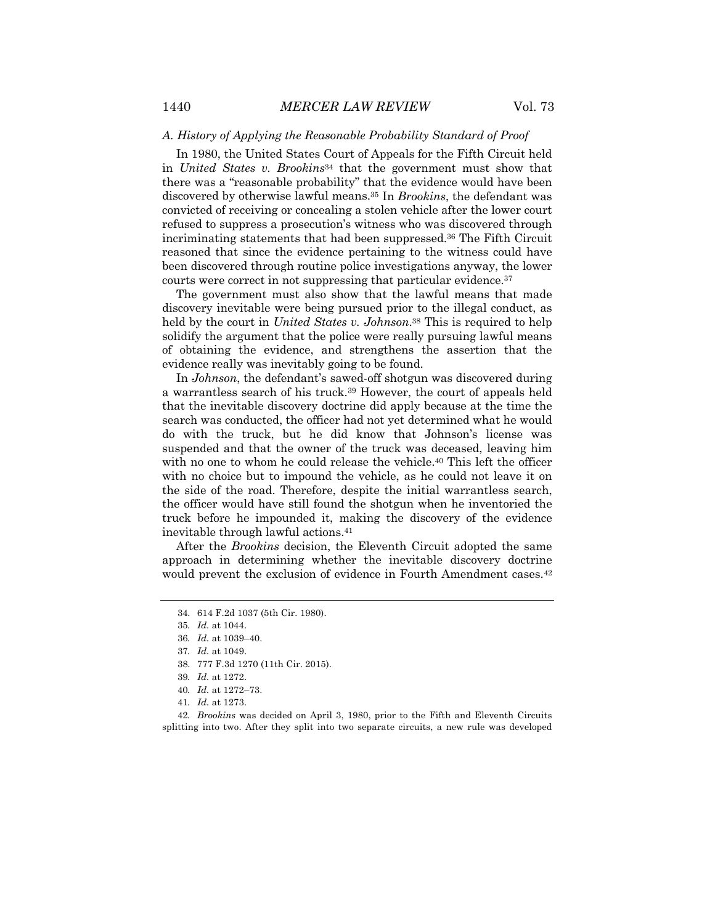#### *A. History of Applying the Reasonable Probability Standard of Proof*

In 1980, the United States Court of Appeals for the Fifth Circuit held in *United States v. Brookins*<sup>34</sup> that the government must show that there was a "reasonable probability" that the evidence would have been discovered by otherwise lawful means.35 In *Brookins*, the defendant was convicted of receiving or concealing a stolen vehicle after the lower court refused to suppress a prosecution's witness who was discovered through incriminating statements that had been suppressed.36 The Fifth Circuit reasoned that since the evidence pertaining to the witness could have been discovered through routine police investigations anyway, the lower courts were correct in not suppressing that particular evidence.<sup>37</sup>

The government must also show that the lawful means that made discovery inevitable were being pursued prior to the illegal conduct, as held by the court in *United States v. Johnson*<sup>38</sup> This is required to help solidify the argument that the police were really pursuing lawful means of obtaining the evidence, and strengthens the assertion that the evidence really was inevitably going to be found.

In *Johnson*, the defendant's sawed-off shotgun was discovered during a warrantless search of his truck.39 However, the court of appeals held that the inevitable discovery doctrine did apply because at the time the search was conducted, the officer had not yet determined what he would do with the truck, but he did know that Johnson's license was suspended and that the owner of the truck was deceased, leaving him with no one to whom he could release the vehicle.<sup>40</sup> This left the officer with no choice but to impound the vehicle, as he could not leave it on the side of the road. Therefore, despite the initial warrantless search, the officer would have still found the shotgun when he inventoried the truck before he impounded it, making the discovery of the evidence inevitable through lawful actions.41

After the *Brookins* decision, the Eleventh Circuit adopted the same approach in determining whether the inevitable discovery doctrine would prevent the exclusion of evidence in Fourth Amendment cases.<sup>42</sup>

<sup>34.</sup> 614 F.2d 1037 (5th Cir. 1980).

<sup>35</sup>*. Id.* at 1044.

<sup>36</sup>*. Id.* at 1039–40.

<sup>37</sup>*. Id.* at 1049.

<sup>38.</sup> 777 F.3d 1270 (11th Cir. 2015).

<sup>39</sup>*. Id.* at 1272.

<sup>40</sup>*. Id.* at 1272–73.

<sup>41</sup>*. Id.* at 1273.

<sup>42</sup>*. Brookins* was decided on April 3, 1980, prior to the Fifth and Eleventh Circuits splitting into two. After they split into two separate circuits, a new rule was developed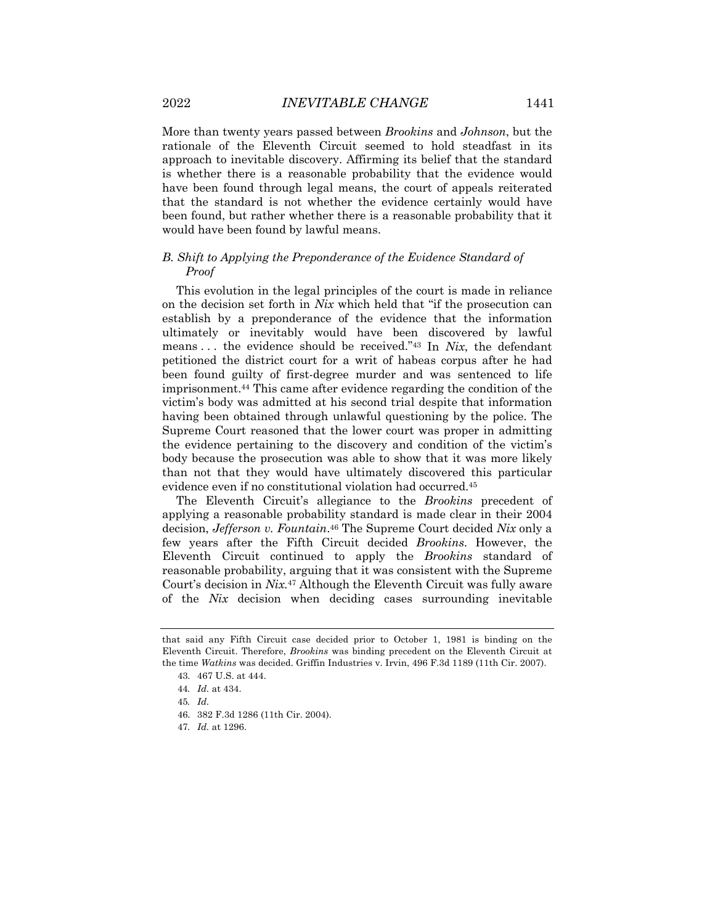More than twenty years passed between *Brookins* and *Johnson*, but the rationale of the Eleventh Circuit seemed to hold steadfast in its approach to inevitable discovery. Affirming its belief that the standard is whether there is a reasonable probability that the evidence would have been found through legal means, the court of appeals reiterated that the standard is not whether the evidence certainly would have been found, but rather whether there is a reasonable probability that it would have been found by lawful means.

#### *B. Shift to Applying the Preponderance of the Evidence Standard of Proof*

This evolution in the legal principles of the court is made in reliance on the decision set forth in *Nix* which held that "if the prosecution can establish by a preponderance of the evidence that the information ultimately or inevitably would have been discovered by lawful means . . . the evidence should be received."43 In *Nix*, the defendant petitioned the district court for a writ of habeas corpus after he had been found guilty of first-degree murder and was sentenced to life imprisonment.44 This came after evidence regarding the condition of the victim's body was admitted at his second trial despite that information having been obtained through unlawful questioning by the police. The Supreme Court reasoned that the lower court was proper in admitting the evidence pertaining to the discovery and condition of the victim's body because the prosecution was able to show that it was more likely than not that they would have ultimately discovered this particular evidence even if no constitutional violation had occurred.45

The Eleventh Circuit's allegiance to the *Brookins* precedent of applying a reasonable probability standard is made clear in their 2004 decision, *Jefferson v. Fountain*.46 The Supreme Court decided *Nix* only a few years after the Fifth Circuit decided *Brookins*. However, the Eleventh Circuit continued to apply the *Brookins* standard of reasonable probability, arguing that it was consistent with the Supreme Court's decision in *Nix.*<sup>47</sup> Although the Eleventh Circuit was fully aware of the *Nix* decision when deciding cases surrounding inevitable

that said any Fifth Circuit case decided prior to October 1, 1981 is binding on the Eleventh Circuit. Therefore, *Brookins* was binding precedent on the Eleventh Circuit at the time *Watkins* was decided. Griffin Industries v. Irvin, 496 F.3d 1189 (11th Cir. 2007).

<sup>43.</sup> 467 U.S. at 444.

<sup>44</sup>*. Id.* at 434.

<sup>45</sup>*. Id.*

<sup>46.</sup> 382 F.3d 1286 (11th Cir. 2004).

<sup>47</sup>*. Id.* at 1296.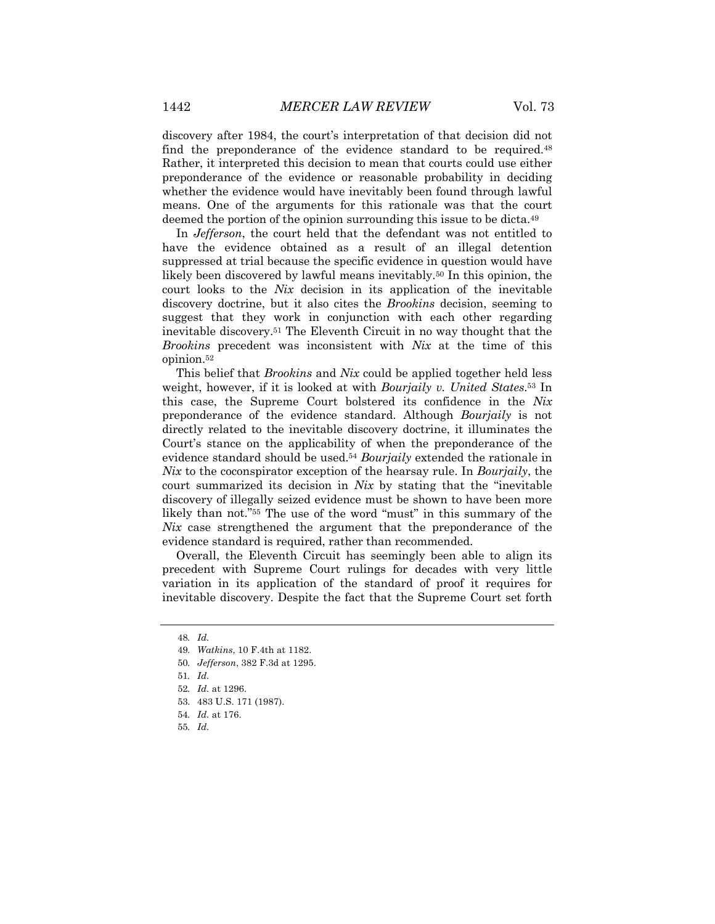discovery after 1984, the court's interpretation of that decision did not find the preponderance of the evidence standard to be required.48 Rather, it interpreted this decision to mean that courts could use either preponderance of the evidence or reasonable probability in deciding whether the evidence would have inevitably been found through lawful means. One of the arguments for this rationale was that the court deemed the portion of the opinion surrounding this issue to be dicta.49

In *Jefferson*, the court held that the defendant was not entitled to have the evidence obtained as a result of an illegal detention suppressed at trial because the specific evidence in question would have likely been discovered by lawful means inevitably.50 In this opinion, the court looks to the *Nix* decision in its application of the inevitable discovery doctrine, but it also cites the *Brookins* decision, seeming to suggest that they work in conjunction with each other regarding inevitable discovery.51 The Eleventh Circuit in no way thought that the *Brookins* precedent was inconsistent with *Nix* at the time of this opinion.52

This belief that *Brookins* and *Nix* could be applied together held less weight, however, if it is looked at with *Bourjaily v. United States*.53 In this case, the Supreme Court bolstered its confidence in the *Nix* preponderance of the evidence standard. Although *Bourjaily* is not directly related to the inevitable discovery doctrine, it illuminates the Court's stance on the applicability of when the preponderance of the evidence standard should be used.54 *Bourjaily* extended the rationale in *Nix* to the coconspirator exception of the hearsay rule. In *Bourjaily*, the court summarized its decision in *Nix* by stating that the "inevitable discovery of illegally seized evidence must be shown to have been more likely than not."55 The use of the word "must" in this summary of the *Nix* case strengthened the argument that the preponderance of the evidence standard is required, rather than recommended.

Overall, the Eleventh Circuit has seemingly been able to align its precedent with Supreme Court rulings for decades with very little variation in its application of the standard of proof it requires for inevitable discovery. Despite the fact that the Supreme Court set forth

<sup>48</sup>*. Id.*

<sup>49</sup>*. Watkins*, 10 F.4th at 1182.

<sup>50</sup>*. Jefferson*, 382 F.3d at 1295.

<sup>51</sup>*. Id.*

<sup>52</sup>*. Id.* at 1296.

<sup>53.</sup> 483 U.S. 171 (1987).

<sup>54</sup>*. Id.* at 176.

<sup>55</sup>*. Id.*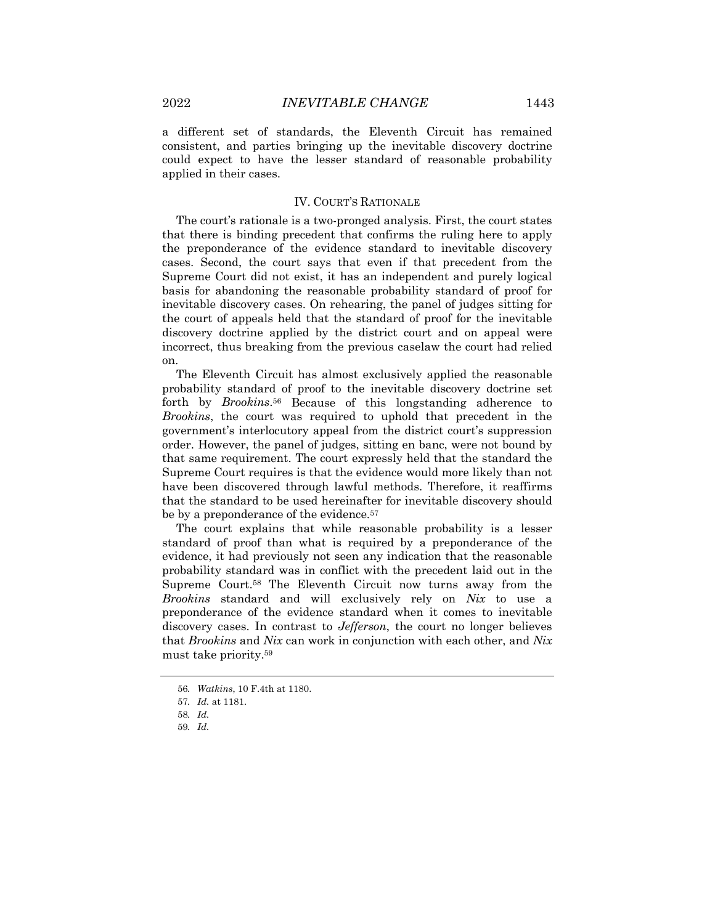a different set of standards, the Eleventh Circuit has remained consistent, and parties bringing up the inevitable discovery doctrine could expect to have the lesser standard of reasonable probability applied in their cases.

#### IV. COURT'S RATIONALE

The court's rationale is a two-pronged analysis. First, the court states that there is binding precedent that confirms the ruling here to apply the preponderance of the evidence standard to inevitable discovery cases. Second, the court says that even if that precedent from the Supreme Court did not exist, it has an independent and purely logical basis for abandoning the reasonable probability standard of proof for inevitable discovery cases. On rehearing, the panel of judges sitting for the court of appeals held that the standard of proof for the inevitable discovery doctrine applied by the district court and on appeal were incorrect, thus breaking from the previous caselaw the court had relied on.

The Eleventh Circuit has almost exclusively applied the reasonable probability standard of proof to the inevitable discovery doctrine set forth by *Brookins*.56 Because of this longstanding adherence to *Brookins*, the court was required to uphold that precedent in the government's interlocutory appeal from the district court's suppression order. However, the panel of judges, sitting en banc, were not bound by that same requirement. The court expressly held that the standard the Supreme Court requires is that the evidence would more likely than not have been discovered through lawful methods. Therefore, it reaffirms that the standard to be used hereinafter for inevitable discovery should be by a preponderance of the evidence.<sup>57</sup>

The court explains that while reasonable probability is a lesser standard of proof than what is required by a preponderance of the evidence, it had previously not seen any indication that the reasonable probability standard was in conflict with the precedent laid out in the Supreme Court.58 The Eleventh Circuit now turns away from the *Brookins* standard and will exclusively rely on *Nix* to use a preponderance of the evidence standard when it comes to inevitable discovery cases. In contrast to *Jefferson*, the court no longer believes that *Brookins* and *Nix* can work in conjunction with each other, and *Nix* must take priority.59

<sup>56</sup>*. Watkins*, 10 F.4th at 1180.

<sup>57</sup>*. Id.* at 1181.

<sup>58</sup>*. Id.*

<sup>59</sup>*. Id.*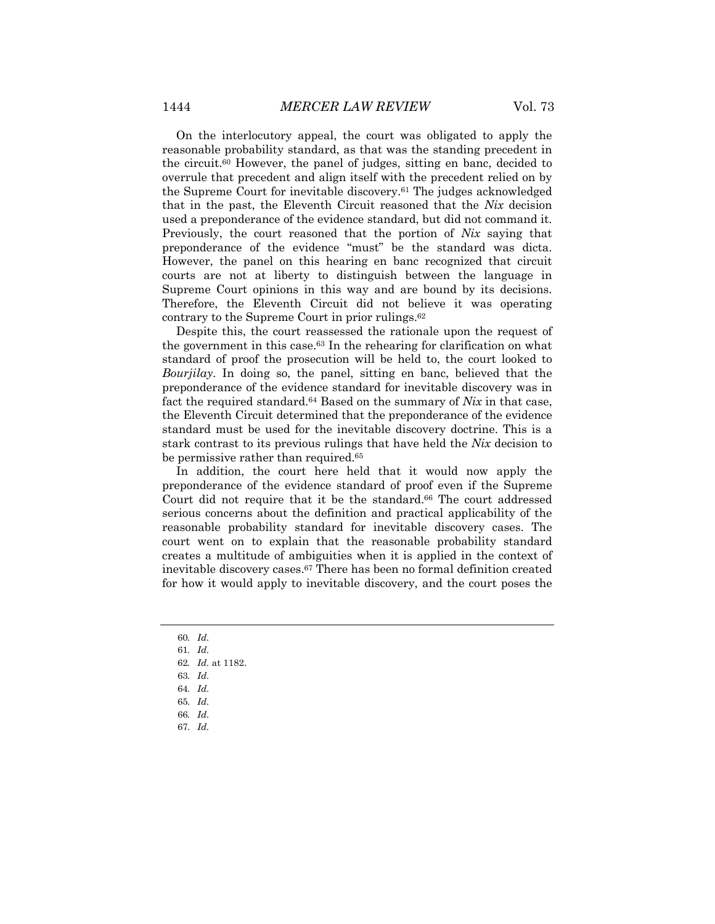On the interlocutory appeal, the court was obligated to apply the reasonable probability standard, as that was the standing precedent in the circuit.60 However, the panel of judges, sitting en banc, decided to overrule that precedent and align itself with the precedent relied on by the Supreme Court for inevitable discovery.61 The judges acknowledged that in the past, the Eleventh Circuit reasoned that the *Nix* decision used a preponderance of the evidence standard, but did not command it. Previously, the court reasoned that the portion of *Nix* saying that preponderance of the evidence "must" be the standard was dicta. However, the panel on this hearing en banc recognized that circuit courts are not at liberty to distinguish between the language in Supreme Court opinions in this way and are bound by its decisions. Therefore, the Eleventh Circuit did not believe it was operating contrary to the Supreme Court in prior rulings.62

Despite this, the court reassessed the rationale upon the request of the government in this case.63 In the rehearing for clarification on what standard of proof the prosecution will be held to, the court looked to *Bourjilay*. In doing so, the panel, sitting en banc, believed that the preponderance of the evidence standard for inevitable discovery was in fact the required standard.64 Based on the summary of *Nix* in that case, the Eleventh Circuit determined that the preponderance of the evidence standard must be used for the inevitable discovery doctrine. This is a stark contrast to its previous rulings that have held the *Nix* decision to be permissive rather than required.<sup>65</sup>

In addition, the court here held that it would now apply the preponderance of the evidence standard of proof even if the Supreme Court did not require that it be the standard.<sup>66</sup> The court addressed serious concerns about the definition and practical applicability of the reasonable probability standard for inevitable discovery cases. The court went on to explain that the reasonable probability standard creates a multitude of ambiguities when it is applied in the context of inevitable discovery cases.67 There has been no formal definition created for how it would apply to inevitable discovery, and the court poses the

- 60*. Id.*
- 61*. Id.*
- 62*. Id.* at 1182.
- 63*. Id.*
- 64*. Id.*
- 65*. Id.*
- 66*. Id.*
- 67*. Id.*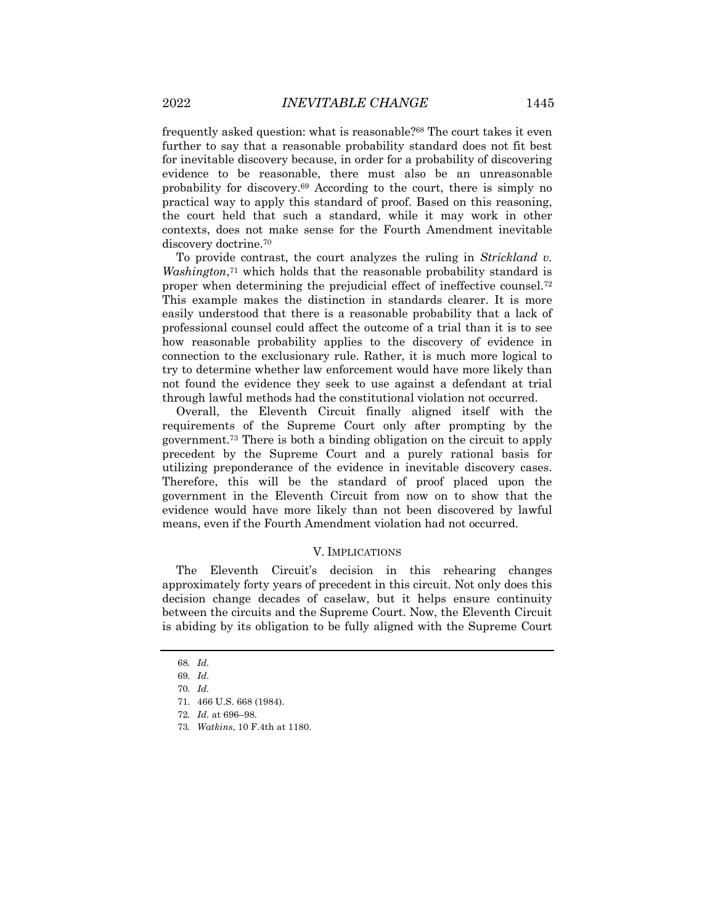frequently asked question: what is reasonable?68 The court takes it even further to say that a reasonable probability standard does not fit best for inevitable discovery because, in order for a probability of discovering evidence to be reasonable, there must also be an unreasonable probability for discovery.69 According to the court, there is simply no practical way to apply this standard of proof. Based on this reasoning, the court held that such a standard, while it may work in other contexts, does not make sense for the Fourth Amendment inevitable discovery doctrine.70

To provide contrast, the court analyzes the ruling in *Strickland v. Washington*<sup>71</sup> which holds that the reasonable probability standard is proper when determining the prejudicial effect of ineffective counsel.72 This example makes the distinction in standards clearer. It is more easily understood that there is a reasonable probability that a lack of professional counsel could affect the outcome of a trial than it is to see how reasonable probability applies to the discovery of evidence in connection to the exclusionary rule. Rather, it is much more logical to try to determine whether law enforcement would have more likely than not found the evidence they seek to use against a defendant at trial through lawful methods had the constitutional violation not occurred.

Overall, the Eleventh Circuit finally aligned itself with the requirements of the Supreme Court only after prompting by the government.73 There is both a binding obligation on the circuit to apply precedent by the Supreme Court and a purely rational basis for utilizing preponderance of the evidence in inevitable discovery cases. Therefore, this will be the standard of proof placed upon the government in the Eleventh Circuit from now on to show that the evidence would have more likely than not been discovered by lawful means, even if the Fourth Amendment violation had not occurred.

#### V. IMPLICATIONS

The Eleventh Circuit's decision in this rehearing changes approximately forty years of precedent in this circuit. Not only does this decision change decades of caselaw, but it helps ensure continuity between the circuits and the Supreme Court. Now, the Eleventh Circuit is abiding by its obligation to be fully aligned with the Supreme Court

<sup>68</sup>*. Id.*

<sup>69</sup>*. Id.*

<sup>70</sup>*. Id.*

<sup>71.</sup> 466 U.S. 668 (1984).

<sup>72</sup>*. Id.* at 696–98.

<sup>73</sup>*. Watkins*, 10 F.4th at 1180.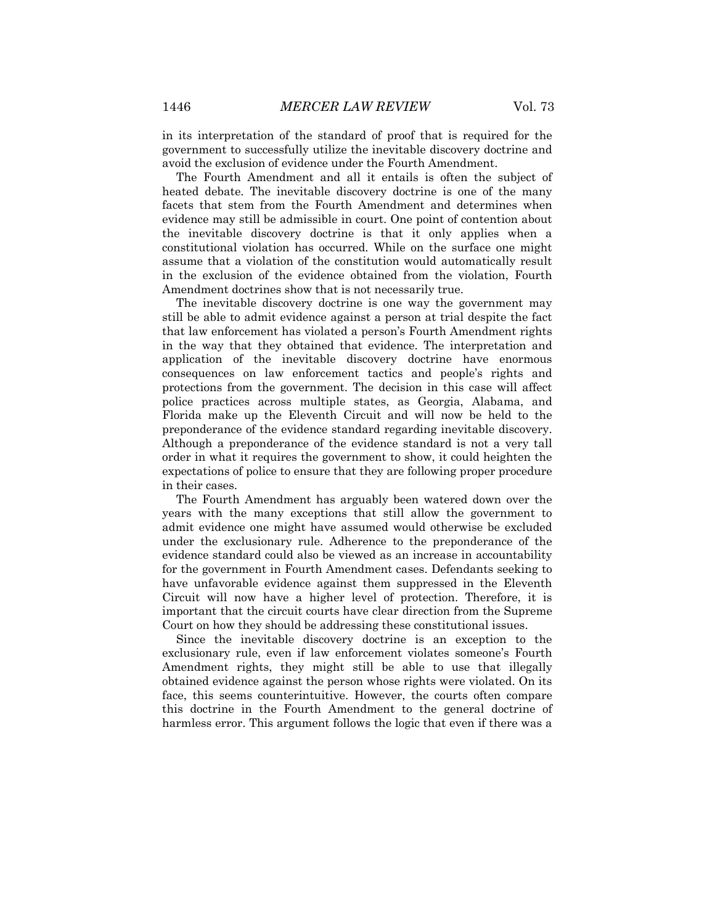in its interpretation of the standard of proof that is required for the government to successfully utilize the inevitable discovery doctrine and avoid the exclusion of evidence under the Fourth Amendment.

The Fourth Amendment and all it entails is often the subject of heated debate. The inevitable discovery doctrine is one of the many facets that stem from the Fourth Amendment and determines when evidence may still be admissible in court. One point of contention about the inevitable discovery doctrine is that it only applies when a constitutional violation has occurred. While on the surface one might assume that a violation of the constitution would automatically result in the exclusion of the evidence obtained from the violation, Fourth Amendment doctrines show that is not necessarily true.

The inevitable discovery doctrine is one way the government may still be able to admit evidence against a person at trial despite the fact that law enforcement has violated a person's Fourth Amendment rights in the way that they obtained that evidence. The interpretation and application of the inevitable discovery doctrine have enormous consequences on law enforcement tactics and people's rights and protections from the government. The decision in this case will affect police practices across multiple states, as Georgia, Alabama, and Florida make up the Eleventh Circuit and will now be held to the preponderance of the evidence standard regarding inevitable discovery. Although a preponderance of the evidence standard is not a very tall order in what it requires the government to show, it could heighten the expectations of police to ensure that they are following proper procedure in their cases.

The Fourth Amendment has arguably been watered down over the years with the many exceptions that still allow the government to admit evidence one might have assumed would otherwise be excluded under the exclusionary rule. Adherence to the preponderance of the evidence standard could also be viewed as an increase in accountability for the government in Fourth Amendment cases. Defendants seeking to have unfavorable evidence against them suppressed in the Eleventh Circuit will now have a higher level of protection. Therefore, it is important that the circuit courts have clear direction from the Supreme Court on how they should be addressing these constitutional issues.

Since the inevitable discovery doctrine is an exception to the exclusionary rule, even if law enforcement violates someone's Fourth Amendment rights, they might still be able to use that illegally obtained evidence against the person whose rights were violated. On its face, this seems counterintuitive. However, the courts often compare this doctrine in the Fourth Amendment to the general doctrine of harmless error. This argument follows the logic that even if there was a